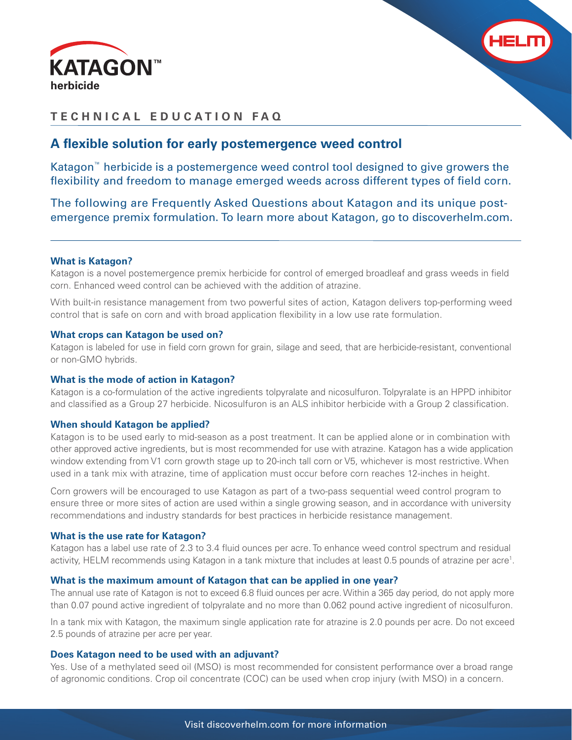



## **TECHNICAL EDUCATION FAQ**

## A flexible solution for early postemergence weed control

Katagon™ herbicide is a postemergence weed control tool designed to give growers the flexibility and freedom to manage emerged weeds across different types of field corn.

The following are Frequently Asked Questions about Katagon and its unique postemergence premix formulation. To learn more about Katagon, go to discoverhelm.com.

### **What is Katagon?**

Katagon is a novel postemergence premix herbicide for control of emerged broadleaf and grass weeds in field corn. Enhanced weed control can be achieved with the addition of atrazine.

With built-in resistance management from two powerful sites of action, Katagon delivers top-performing weed control that is safe on corn and with broad application flexibility in a low use rate formulation.

#### **What crops can Katagon be used on?**

Katagon is labeled for use in field corn grown for grain, silage and seed, that are herbicide-resistant, conventional or non-GMO hybrids.

#### **What is the mode of action in Katagon?**

Katagon is a co-formulation of the active ingredients tolpyralate and nicosulfuron. Tolpyralate is an HPPD inhibitor and classified as a Group 27 herbicide. Nicosulfuron is an ALS inhibitor herbicide with a Group 2 classification.

#### **When should Katagon be applied?**

Katagon is to be used early to mid-season as a post treatment. It can be applied alone or in combination with other approved active ingredients, but is most recommended for use with atrazine. Katagon has a wide application window extending from V1 corn growth stage up to 20-inch tall corn or V5, whichever is most restrictive. When used in a tank mix with atrazine, time of application must occur before corn reaches 12-inches in height.

Corn growers will be encouraged to use Katagon as part of a two-pass sequential weed control program to ensure three or more sites of action are used within a single growing season, and in accordance with university recommendations and industry standards for best practices in herbicide resistance management.

### **What is the use rate for Katagon?**

Katagon has a label use rate of 2.3 to 3.4 fluid ounces per acre. To enhance weed control spectrum and residual activity, HELM recommends using Katagon in a tank mixture that includes at least 0.5 pounds of atrazine per acre<sup>1</sup>.

### **What is the maximum amount of Katagon that can be applied in one year?**

The annual use rate of Katagon is not to exceed 6.8 fluid ounces per acre. Within a 365 day period, do not apply more than 0.07 pound active ingredient of tolpyralate and no more than 0.062 pound active ingredient of nicosulfuron.

In a tank mix with Katagon, the maximum single application rate for atrazine is 2.0 pounds per acre. Do not exceed 2.5 pounds of atrazine per acre per year.

### **Does Katagon need to be used with an adjuvant?**

Yes. Use of a methylated seed oil (MSO) is most recommended for consistent performance over a broad range of agronomic conditions. Crop oil concentrate (COC) can be used when crop injury (with MSO) in a concern.